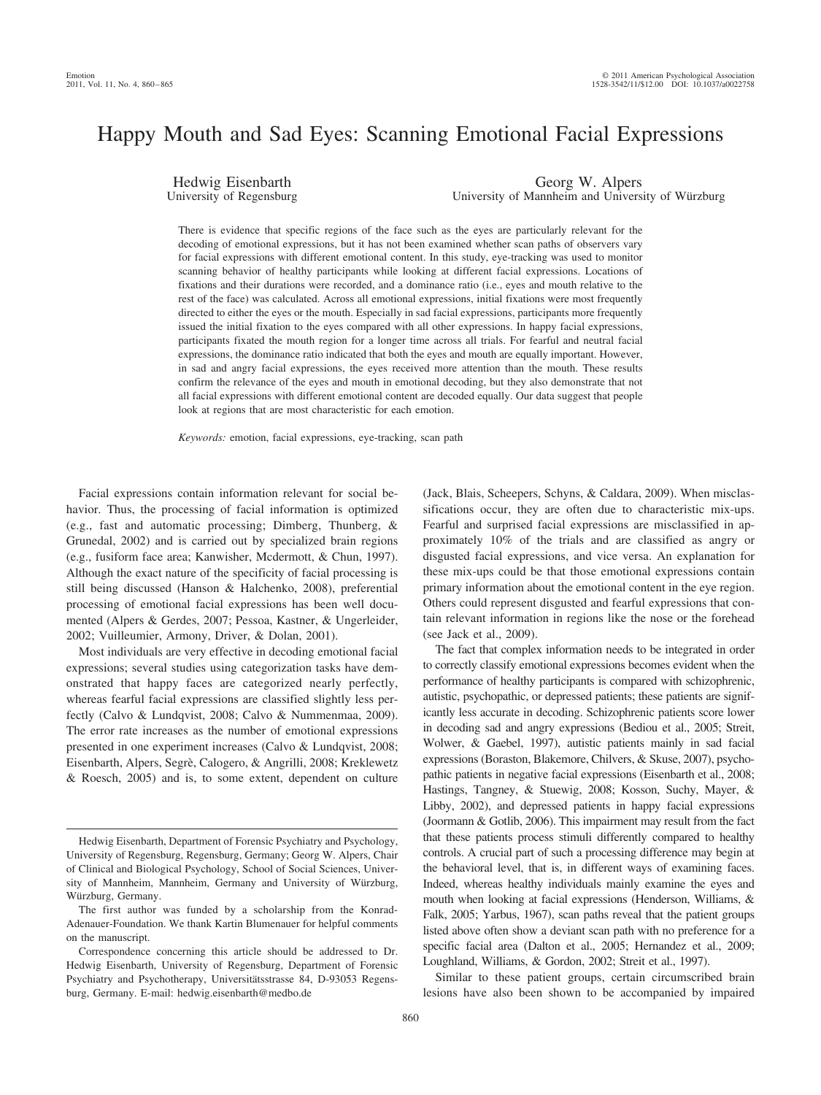# Happy Mouth and Sad Eyes: Scanning Emotional Facial Expressions

Hedwig Eisenbarth University of Regensburg

Georg W. Alpers University of Mannheim and University of Würzburg

There is evidence that specific regions of the face such as the eyes are particularly relevant for the decoding of emotional expressions, but it has not been examined whether scan paths of observers vary for facial expressions with different emotional content. In this study, eye-tracking was used to monitor scanning behavior of healthy participants while looking at different facial expressions. Locations of fixations and their durations were recorded, and a dominance ratio (i.e., eyes and mouth relative to the rest of the face) was calculated. Across all emotional expressions, initial fixations were most frequently directed to either the eyes or the mouth. Especially in sad facial expressions, participants more frequently issued the initial fixation to the eyes compared with all other expressions. In happy facial expressions, participants fixated the mouth region for a longer time across all trials. For fearful and neutral facial expressions, the dominance ratio indicated that both the eyes and mouth are equally important. However, in sad and angry facial expressions, the eyes received more attention than the mouth. These results confirm the relevance of the eyes and mouth in emotional decoding, but they also demonstrate that not all facial expressions with different emotional content are decoded equally. Our data suggest that people look at regions that are most characteristic for each emotion.

*Keywords:* emotion, facial expressions, eye-tracking, scan path

Facial expressions contain information relevant for social behavior. Thus, the processing of facial information is optimized (e.g., fast and automatic processing; Dimberg, Thunberg, & Grunedal, 2002) and is carried out by specialized brain regions (e.g., fusiform face area; Kanwisher, Mcdermott, & Chun, 1997). Although the exact nature of the specificity of facial processing is still being discussed (Hanson & Halchenko, 2008), preferential processing of emotional facial expressions has been well documented (Alpers & Gerdes, 2007; Pessoa, Kastner, & Ungerleider, 2002; Vuilleumier, Armony, Driver, & Dolan, 2001).

Most individuals are very effective in decoding emotional facial expressions; several studies using categorization tasks have demonstrated that happy faces are categorized nearly perfectly, whereas fearful facial expressions are classified slightly less perfectly (Calvo & Lundqvist, 2008; Calvo & Nummenmaa, 2009). The error rate increases as the number of emotional expressions presented in one experiment increases (Calvo & Lundqvist, 2008; Eisenbarth, Alpers, Segrè, Calogero, & Angrilli, 2008; Kreklewetz & Roesch, 2005) and is, to some extent, dependent on culture

(Jack, Blais, Scheepers, Schyns, & Caldara, 2009). When misclassifications occur, they are often due to characteristic mix-ups. Fearful and surprised facial expressions are misclassified in approximately 10% of the trials and are classified as angry or disgusted facial expressions, and vice versa. An explanation for these mix-ups could be that those emotional expressions contain primary information about the emotional content in the eye region. Others could represent disgusted and fearful expressions that contain relevant information in regions like the nose or the forehead (see Jack et al., 2009).

The fact that complex information needs to be integrated in order to correctly classify emotional expressions becomes evident when the performance of healthy participants is compared with schizophrenic, autistic, psychopathic, or depressed patients; these patients are significantly less accurate in decoding. Schizophrenic patients score lower in decoding sad and angry expressions (Bediou et al., 2005; Streit, Wolwer, & Gaebel, 1997), autistic patients mainly in sad facial expressions (Boraston, Blakemore, Chilvers, & Skuse, 2007), psychopathic patients in negative facial expressions (Eisenbarth et al., 2008; Hastings, Tangney, & Stuewig, 2008; Kosson, Suchy, Mayer, & Libby, 2002), and depressed patients in happy facial expressions (Joormann & Gotlib, 2006). This impairment may result from the fact that these patients process stimuli differently compared to healthy controls. A crucial part of such a processing difference may begin at the behavioral level, that is, in different ways of examining faces. Indeed, whereas healthy individuals mainly examine the eyes and mouth when looking at facial expressions (Henderson, Williams, & Falk, 2005; Yarbus, 1967), scan paths reveal that the patient groups listed above often show a deviant scan path with no preference for a specific facial area (Dalton et al., 2005; Hernandez et al., 2009; Loughland, Williams, & Gordon, 2002; Streit et al., 1997).

Similar to these patient groups, certain circumscribed brain lesions have also been shown to be accompanied by impaired

Hedwig Eisenbarth, Department of Forensic Psychiatry and Psychology, University of Regensburg, Regensburg, Germany; Georg W. Alpers, Chair of Clinical and Biological Psychology, School of Social Sciences, University of Mannheim, Mannheim, Germany and University of Würzburg, Würzburg, Germany.

The first author was funded by a scholarship from the Konrad-Adenauer-Foundation. We thank Kartin Blumenauer for helpful comments on the manuscript.

Correspondence concerning this article should be addressed to Dr. Hedwig Eisenbarth, University of Regensburg, Department of Forensic Psychiatry and Psychotherapy, Universitätsstrasse 84, D-93053 Regensburg, Germany. E-mail: hedwig.eisenbarth@medbo.de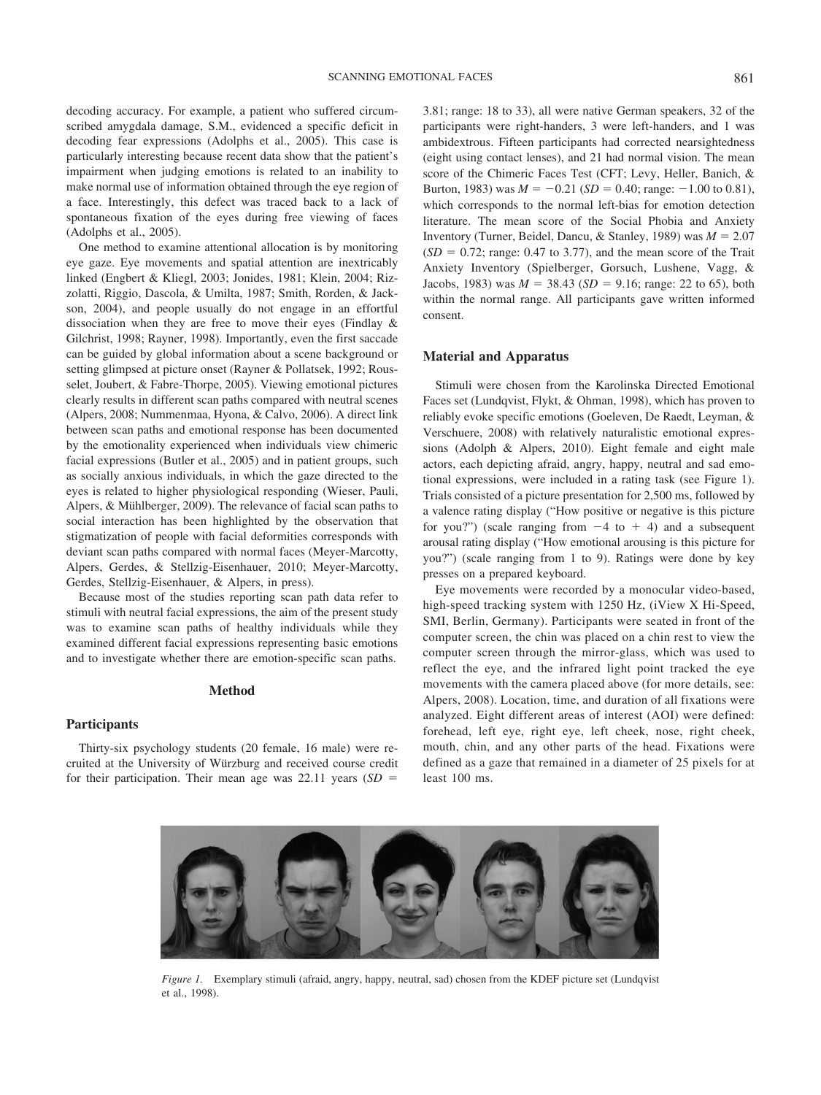decoding accuracy. For example, a patient who suffered circumscribed amygdala damage, S.M., evidenced a specific deficit in decoding fear expressions (Adolphs et al., 2005). This case is particularly interesting because recent data show that the patient's impairment when judging emotions is related to an inability to make normal use of information obtained through the eye region of a face. Interestingly, this defect was traced back to a lack of spontaneous fixation of the eyes during free viewing of faces (Adolphs et al., 2005).

One method to examine attentional allocation is by monitoring eye gaze. Eye movements and spatial attention are inextricably linked (Engbert & Kliegl, 2003; Jonides, 1981; Klein, 2004; Rizzolatti, Riggio, Dascola, & Umilta, 1987; Smith, Rorden, & Jackson, 2004), and people usually do not engage in an effortful dissociation when they are free to move their eyes (Findlay & Gilchrist, 1998; Rayner, 1998). Importantly, even the first saccade can be guided by global information about a scene background or setting glimpsed at picture onset (Rayner & Pollatsek, 1992; Rousselet, Joubert, & Fabre-Thorpe, 2005). Viewing emotional pictures clearly results in different scan paths compared with neutral scenes (Alpers, 2008; Nummenmaa, Hyona, & Calvo, 2006). A direct link between scan paths and emotional response has been documented by the emotionality experienced when individuals view chimeric facial expressions (Butler et al., 2005) and in patient groups, such as socially anxious individuals, in which the gaze directed to the eyes is related to higher physiological responding (Wieser, Pauli, Alpers,  $&$  Mühlberger, 2009). The relevance of facial scan paths to social interaction has been highlighted by the observation that stigmatization of people with facial deformities corresponds with deviant scan paths compared with normal faces (Meyer-Marcotty, Alpers, Gerdes, & Stellzig-Eisenhauer, 2010; Meyer-Marcotty, Gerdes, Stellzig-Eisenhauer, & Alpers, in press).

Because most of the studies reporting scan path data refer to stimuli with neutral facial expressions, the aim of the present study was to examine scan paths of healthy individuals while they examined different facial expressions representing basic emotions and to investigate whether there are emotion-specific scan paths.

#### **Method**

## **Participants**

Thirty-six psychology students (20 female, 16 male) were recruited at the University of Würzburg and received course credit for their participation. Their mean age was 22.11 years (*SD*

3.81; range: 18 to 33), all were native German speakers, 32 of the participants were right-handers, 3 were left-handers, and 1 was ambidextrous. Fifteen participants had corrected nearsightedness (eight using contact lenses), and 21 had normal vision. The mean score of the Chimeric Faces Test (CFT; Levy, Heller, Banich, & Burton, 1983) was  $M = -0.21$  (*SD* = 0.40; range:  $-1.00$  to 0.81), which corresponds to the normal left-bias for emotion detection literature. The mean score of the Social Phobia and Anxiety Inventory (Turner, Beidel, Dancu, & Stanley, 1989) was  $M = 2.07$  $(SD = 0.72$ ; range: 0.47 to 3.77), and the mean score of the Trait Anxiety Inventory (Spielberger, Gorsuch, Lushene, Vagg, & Jacobs, 1983) was  $M = 38.43$  (*SD* = 9.16; range: 22 to 65), both within the normal range. All participants gave written informed consent.

## **Material and Apparatus**

Stimuli were chosen from the Karolinska Directed Emotional Faces set (Lundqvist, Flykt, & Ohman, 1998), which has proven to reliably evoke specific emotions (Goeleven, De Raedt, Leyman, & Verschuere, 2008) with relatively naturalistic emotional expressions (Adolph & Alpers, 2010). Eight female and eight male actors, each depicting afraid, angry, happy, neutral and sad emotional expressions, were included in a rating task (see Figure 1). Trials consisted of a picture presentation for 2,500 ms, followed by a valence rating display ("How positive or negative is this picture for you?") (scale ranging from  $-4$  to  $+4$ ) and a subsequent arousal rating display ("How emotional arousing is this picture for you?") (scale ranging from 1 to 9). Ratings were done by key presses on a prepared keyboard.

Eye movements were recorded by a monocular video-based, high-speed tracking system with 1250 Hz, (iView X Hi-Speed, SMI, Berlin, Germany). Participants were seated in front of the computer screen, the chin was placed on a chin rest to view the computer screen through the mirror-glass, which was used to reflect the eye, and the infrared light point tracked the eye movements with the camera placed above (for more details, see: Alpers, 2008). Location, time, and duration of all fixations were analyzed. Eight different areas of interest (AOI) were defined: forehead, left eye, right eye, left cheek, nose, right cheek, mouth, chin, and any other parts of the head. Fixations were defined as a gaze that remained in a diameter of 25 pixels for at least 100 ms.



*Figure 1.* Exemplary stimuli (afraid, angry, happy, neutral, sad) chosen from the KDEF picture set (Lundqvist et al., 1998).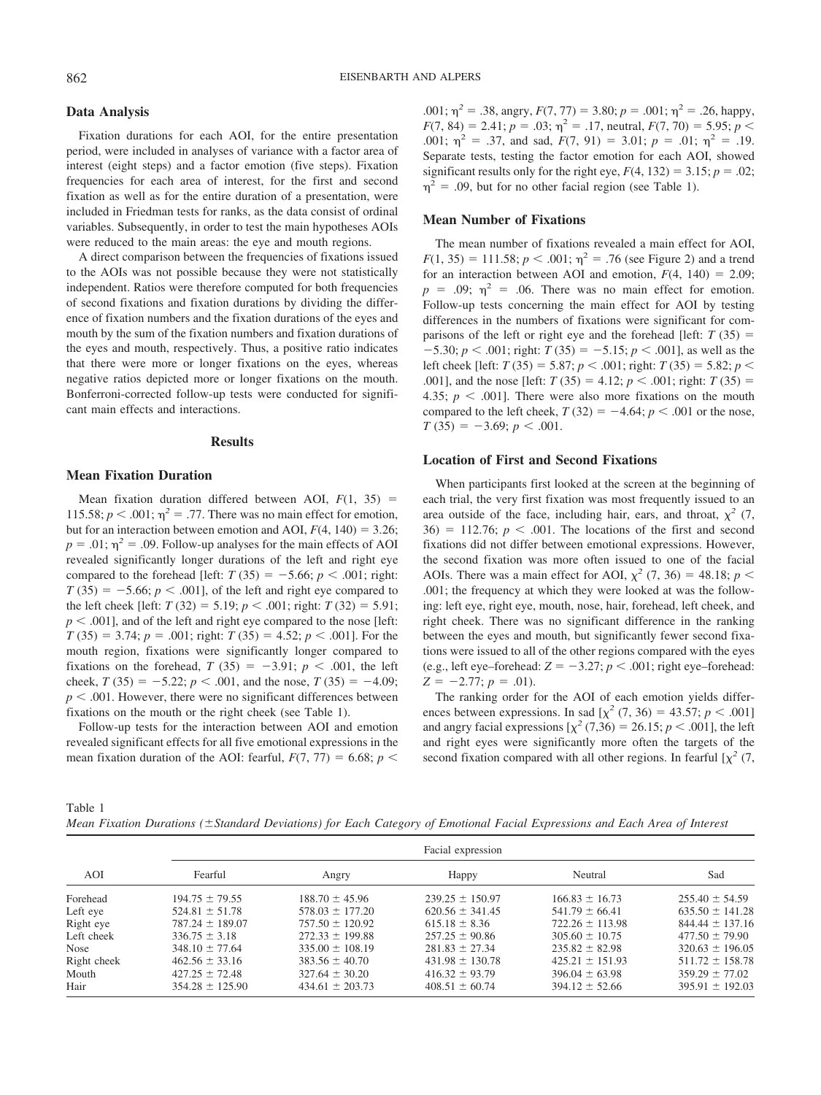## **Data Analysis**

Fixation durations for each AOI, for the entire presentation period, were included in analyses of variance with a factor area of interest (eight steps) and a factor emotion (five steps). Fixation frequencies for each area of interest, for the first and second fixation as well as for the entire duration of a presentation, were included in Friedman tests for ranks, as the data consist of ordinal variables. Subsequently, in order to test the main hypotheses AOIs were reduced to the main areas: the eye and mouth regions.

A direct comparison between the frequencies of fixations issued to the AOIs was not possible because they were not statistically independent. Ratios were therefore computed for both frequencies of second fixations and fixation durations by dividing the difference of fixation numbers and the fixation durations of the eyes and mouth by the sum of the fixation numbers and fixation durations of the eyes and mouth, respectively. Thus, a positive ratio indicates that there were more or longer fixations on the eyes, whereas negative ratios depicted more or longer fixations on the mouth. Bonferroni-corrected follow-up tests were conducted for significant main effects and interactions.

#### **Results**

## **Mean Fixation Duration**

Mean fixation duration differed between AOI,  $F(1, 35)$  = 115.58;  $p < .001$ ;  $\eta^2 = .77$ . There was no main effect for emotion, but for an interaction between emotion and AOI,  $F(4, 140) = 3.26$ ;  $p = .01$ ;  $\eta^2 = .09$ . Follow-up analyses for the main effects of AOI revealed significantly longer durations of the left and right eye compared to the forehead [left:  $T(35) = -5.66$ ;  $p < .001$ ; right:  $T(35) = -5.66$ ;  $p < .001$ ], of the left and right eye compared to the left cheek [left:  $T(32) = 5.19$ ;  $p < .001$ ; right:  $T(32) = 5.91$ ;  $p < .001$ ], and of the left and right eye compared to the nose [left:  $T(35) = 3.74$ ;  $p = .001$ ; right:  $T(35) = 4.52$ ;  $p < .001$ ]. For the mouth region, fixations were significantly longer compared to fixations on the forehead,  $T(35) = -3.91$ ;  $p < .001$ , the left cheek,  $T(35) = -5.22$ ;  $p < .001$ , and the nose,  $T(35) = -4.09$ ;  $p < .001$ . However, there were no significant differences between fixations on the mouth or the right cheek (see Table 1).

Follow-up tests for the interaction between AOI and emotion revealed significant effects for all five emotional expressions in the mean fixation duration of the AOI: fearful,  $F(7, 77) = 6.68$ ;  $p \le$ 

.001;  $\eta^2$  = .38, angry,  $F(7, 77)$  = 3.80;  $p$  = .001;  $\eta^2$  = .26, happy,  $F(7, 84) = 2.41$ ;  $p = .03$ ;  $\eta^2 = .17$ , neutral,  $F(7, 70) = 5.95$ ;  $p <$ .001;  $\eta^2 = .37$ , and sad,  $F(7, 91) = 3.01$ ;  $p = .01$ ;  $\eta^2 = .19$ . Separate tests, testing the factor emotion for each AOI, showed significant results only for the right eye,  $F(4, 132) = 3.15$ ;  $p = .02$ ;  $\eta^2$  = .09, but for no other facial region (see Table 1).

### **Mean Number of Fixations**

The mean number of fixations revealed a main effect for AOI,  $F(1, 35) = 111.58$ ;  $p < .001$ ;  $\eta^2 = .76$  (see Figure 2) and a trend for an interaction between AOI and emotion,  $F(4, 140) = 2.09$ ;  $p = .09$ ;  $\eta^2 = .06$ . There was no main effect for emotion. Follow-up tests concerning the main effect for AOI by testing differences in the numbers of fixations were significant for comparisons of the left or right eye and the forehead [left:  $T(35) =$  $-5.30; p < .001;$  right:  $T(35) = -5.15; p < .001$ ], as well as the left cheek [left:  $T(35) = 5.87$ ;  $p < .001$ ; right:  $T(35) = 5.82$ ;  $p <$ .001], and the nose [left:  $T(35) = 4.12$ ;  $p < .001$ ; right:  $T(35) =$ 4.35;  $p < .001$ ]. There were also more fixations on the mouth compared to the left cheek,  $T(32) = -4.64$ ;  $p < .001$  or the nose,  $T(35) = -3.69; p < .001.$ 

#### **Location of First and Second Fixations**

When participants first looked at the screen at the beginning of each trial, the very first fixation was most frequently issued to an area outside of the face, including hair, ears, and throat,  $\chi^2$  (7,  $36) = 112.76$ ;  $p < .001$ . The locations of the first and second fixations did not differ between emotional expressions. However, the second fixation was more often issued to one of the facial AOIs. There was a main effect for AOI,  $\chi^2$  (7, 36) = 48.18; *p* < .001; the frequency at which they were looked at was the following: left eye, right eye, mouth, nose, hair, forehead, left cheek, and right cheek. There was no significant difference in the ranking between the eyes and mouth, but significantly fewer second fixations were issued to all of the other regions compared with the eyes (e.g., left eye–forehead:  $Z = -3.27$ ;  $p < .001$ ; right eye–forehead:  $Z = -2.77$ ;  $p = .01$ ).

The ranking order for the AOI of each emotion yields differences between expressions. In sad  $[\chi^2 (7, 36) = 43.57; p < .001]$ and angry facial expressions  $[\chi^2 (7,36) = 26.15; p < .001]$ , the left and right eyes were significantly more often the targets of the second fixation compared with all other regions. In fearful  $[\chi^2(7, \pi)]$ 

Table 1

*Mean Fixation Durations (Standard Deviations) for Each Category of Emotional Facial Expressions and Each Area of Interest*

| AOI         | Facial expression   |                     |                     |                     |                     |
|-------------|---------------------|---------------------|---------------------|---------------------|---------------------|
|             | Fearful             | Angry               | Happy               | Neutral             | Sad                 |
| Forehead    | $194.75 \pm 79.55$  | $188.70 \pm 45.96$  | $239.25 \pm 150.97$ | $166.83 \pm 16.73$  | $255.40 \pm 54.59$  |
| Left eye    | $524.81 \pm 51.78$  | $578.03 \pm 177.20$ | $620.56 \pm 341.45$ | $541.79 \pm 66.41$  | $635.50 \pm 141.28$ |
| Right eye   | $787.24 \pm 189.07$ | $757.50 \pm 120.92$ | $615.18 \pm 8.36$   | $722.26 \pm 113.98$ | $844.44 \pm 137.16$ |
| Left cheek  | $336.75 \pm 3.18$   | $272.33 \pm 199.88$ | $257.25 \pm 90.86$  | $305.60 \pm 10.75$  | $477.50 \pm 79.90$  |
| <b>Nose</b> | $348.10 \pm 77.64$  | $335.00 \pm 108.19$ | $281.83 \pm 27.34$  | $235.82 \pm 82.98$  | $320.63 \pm 196.05$ |
| Right cheek | $462.56 \pm 33.16$  | $383.56 \pm 40.70$  | $431.98 \pm 130.78$ | $425.21 \pm 151.93$ | $511.72 \pm 158.78$ |
| Mouth       | $427.25 \pm 72.48$  | $327.64 \pm 30.20$  | $416.32 \pm 93.79$  | $396.04 \pm 63.98$  | $359.29 \pm 77.02$  |
| Hair        | $354.28 \pm 125.90$ | $434.61 \pm 203.73$ | $408.51 \pm 60.74$  | $394.12 \pm 52.66$  | $395.91 \pm 192.03$ |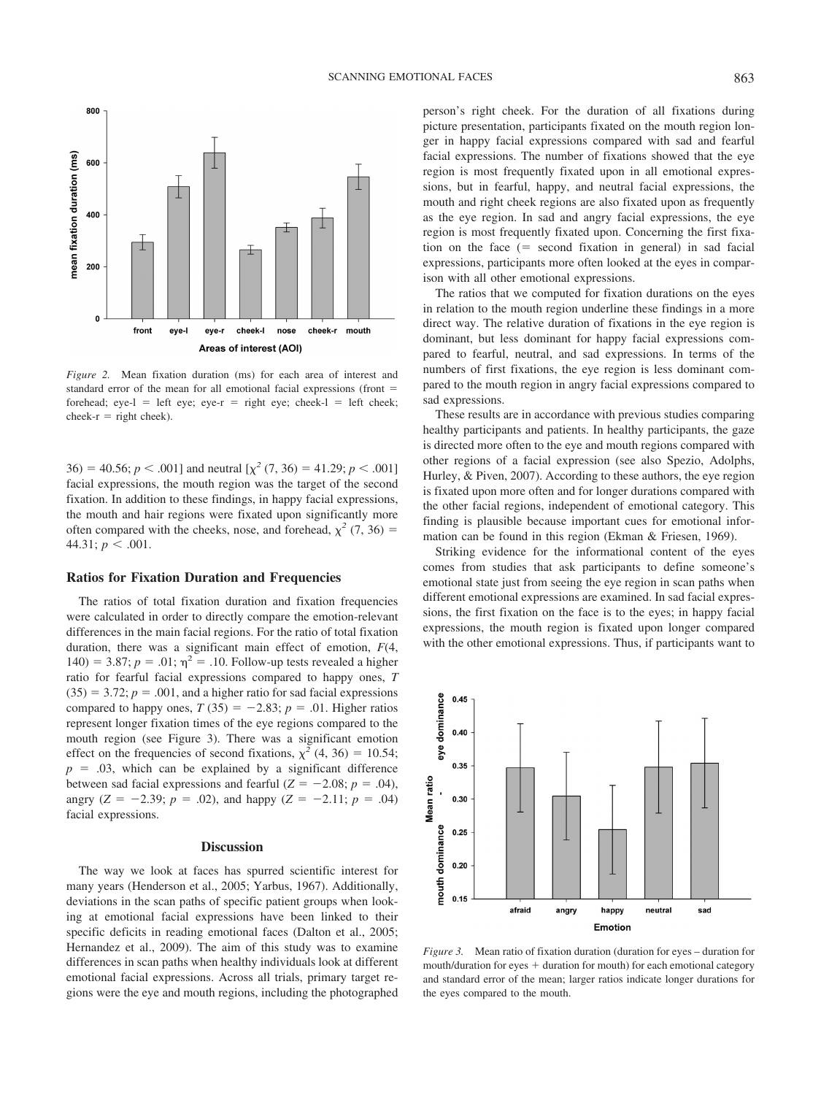

*Figure 2.* Mean fixation duration (ms) for each area of interest and standard error of the mean for all emotional facial expressions (front forehead; eye-l = left eye; eye-r = right eye; cheek-l = left cheek; cheek- $r =$  right cheek).

 $36$  = 40.56; *p* < .001] and neutral  $[\chi^2(7, 36) = 41.29; p < .001]$ facial expressions, the mouth region was the target of the second fixation. In addition to these findings, in happy facial expressions, the mouth and hair regions were fixated upon significantly more often compared with the cheeks, nose, and forehead,  $\chi^2$  (7, 36) = 44.31;  $p < .001$ .

#### **Ratios for Fixation Duration and Frequencies**

The ratios of total fixation duration and fixation frequencies were calculated in order to directly compare the emotion-relevant differences in the main facial regions. For the ratio of total fixation duration, there was a significant main effect of emotion, *F*(4, 140) = 3.87;  $p = .01$ ;  $\eta^2 = .10$ . Follow-up tests revealed a higher ratio for fearful facial expressions compared to happy ones, *T*  $(35) = 3.72$ ;  $p = .001$ , and a higher ratio for sad facial expressions compared to happy ones,  $T(35) = -2.83$ ;  $p = .01$ . Higher ratios represent longer fixation times of the eye regions compared to the mouth region (see Figure 3). There was a significant emotion effect on the frequencies of second fixations,  $\chi^2$  (4, 36) = 10.54;  $p = .03$ , which can be explained by a significant difference between sad facial expressions and fearful  $(Z = -2.08; p = .04)$ , angry ( $Z = -2.39$ ;  $p = .02$ ), and happy ( $Z = -2.11$ ;  $p = .04$ ) facial expressions.

## **Discussion**

The way we look at faces has spurred scientific interest for many years (Henderson et al., 2005; Yarbus, 1967). Additionally, deviations in the scan paths of specific patient groups when looking at emotional facial expressions have been linked to their specific deficits in reading emotional faces (Dalton et al., 2005; Hernandez et al., 2009). The aim of this study was to examine differences in scan paths when healthy individuals look at different emotional facial expressions. Across all trials, primary target regions were the eye and mouth regions, including the photographed person's right cheek. For the duration of all fixations during picture presentation, participants fixated on the mouth region longer in happy facial expressions compared with sad and fearful facial expressions. The number of fixations showed that the eye region is most frequently fixated upon in all emotional expressions, but in fearful, happy, and neutral facial expressions, the mouth and right cheek regions are also fixated upon as frequently as the eye region. In sad and angry facial expressions, the eye region is most frequently fixated upon. Concerning the first fixation on the face  $($  second fixation in general) in sad facial expressions, participants more often looked at the eyes in comparison with all other emotional expressions.

The ratios that we computed for fixation durations on the eyes in relation to the mouth region underline these findings in a more direct way. The relative duration of fixations in the eye region is dominant, but less dominant for happy facial expressions compared to fearful, neutral, and sad expressions. In terms of the numbers of first fixations, the eye region is less dominant compared to the mouth region in angry facial expressions compared to sad expressions.

These results are in accordance with previous studies comparing healthy participants and patients. In healthy participants, the gaze is directed more often to the eye and mouth regions compared with other regions of a facial expression (see also Spezio, Adolphs, Hurley, & Piven, 2007). According to these authors, the eye region is fixated upon more often and for longer durations compared with the other facial regions, independent of emotional category. This finding is plausible because important cues for emotional information can be found in this region (Ekman & Friesen, 1969).

Striking evidence for the informational content of the eyes comes from studies that ask participants to define someone's emotional state just from seeing the eye region in scan paths when different emotional expressions are examined. In sad facial expressions, the first fixation on the face is to the eyes; in happy facial expressions, the mouth region is fixated upon longer compared with the other emotional expressions. Thus, if participants want to



*Figure 3.* Mean ratio of fixation duration (duration for eyes – duration for  $m$ outh/duration for eyes  $+$  duration for mouth) for each emotional category and standard error of the mean; larger ratios indicate longer durations for the eyes compared to the mouth.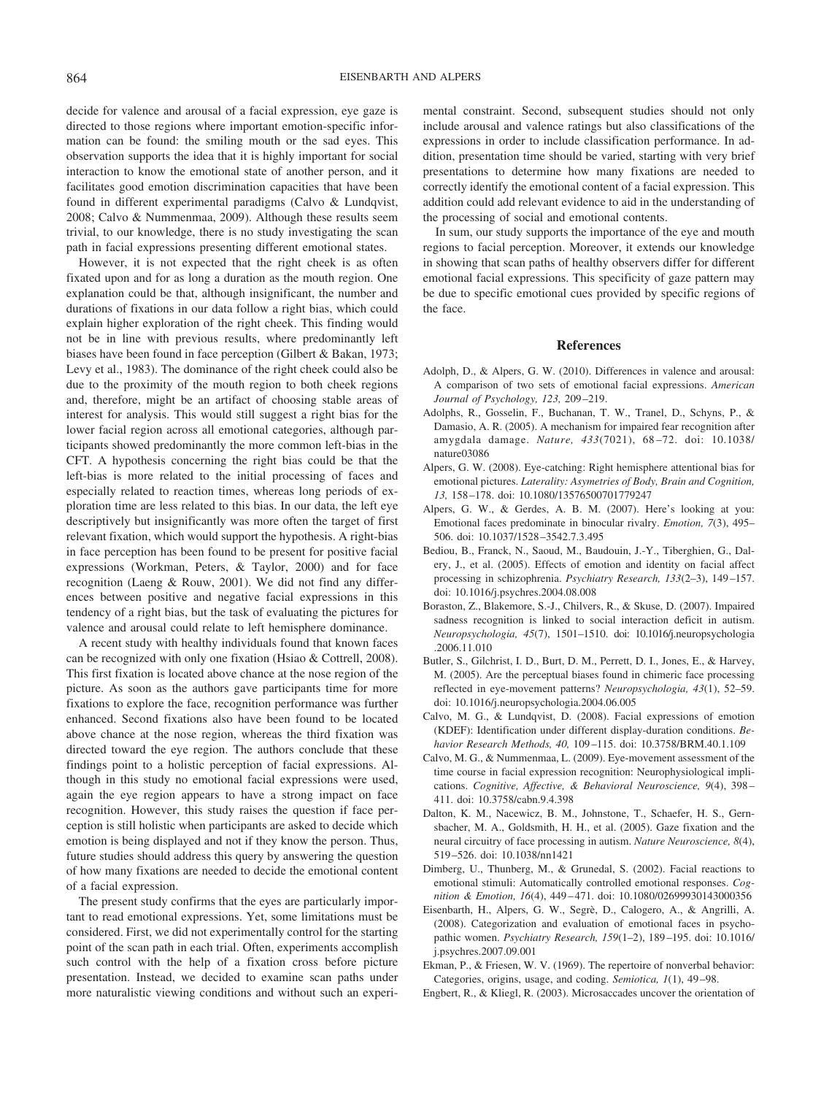decide for valence and arousal of a facial expression, eye gaze is directed to those regions where important emotion-specific information can be found: the smiling mouth or the sad eyes. This observation supports the idea that it is highly important for social interaction to know the emotional state of another person, and it facilitates good emotion discrimination capacities that have been found in different experimental paradigms (Calvo & Lundqvist, 2008; Calvo & Nummenmaa, 2009). Although these results seem trivial, to our knowledge, there is no study investigating the scan path in facial expressions presenting different emotional states.

However, it is not expected that the right cheek is as often fixated upon and for as long a duration as the mouth region. One explanation could be that, although insignificant, the number and durations of fixations in our data follow a right bias, which could explain higher exploration of the right cheek. This finding would not be in line with previous results, where predominantly left biases have been found in face perception (Gilbert & Bakan, 1973; Levy et al., 1983). The dominance of the right cheek could also be due to the proximity of the mouth region to both cheek regions and, therefore, might be an artifact of choosing stable areas of interest for analysis. This would still suggest a right bias for the lower facial region across all emotional categories, although participants showed predominantly the more common left-bias in the CFT. A hypothesis concerning the right bias could be that the left-bias is more related to the initial processing of faces and especially related to reaction times, whereas long periods of exploration time are less related to this bias. In our data, the left eye descriptively but insignificantly was more often the target of first relevant fixation, which would support the hypothesis. A right-bias in face perception has been found to be present for positive facial expressions (Workman, Peters, & Taylor, 2000) and for face recognition (Laeng & Rouw, 2001). We did not find any differences between positive and negative facial expressions in this tendency of a right bias, but the task of evaluating the pictures for valence and arousal could relate to left hemisphere dominance.

A recent study with healthy individuals found that known faces can be recognized with only one fixation (Hsiao & Cottrell, 2008). This first fixation is located above chance at the nose region of the picture. As soon as the authors gave participants time for more fixations to explore the face, recognition performance was further enhanced. Second fixations also have been found to be located above chance at the nose region, whereas the third fixation was directed toward the eye region. The authors conclude that these findings point to a holistic perception of facial expressions. Although in this study no emotional facial expressions were used, again the eye region appears to have a strong impact on face recognition. However, this study raises the question if face perception is still holistic when participants are asked to decide which emotion is being displayed and not if they know the person. Thus, future studies should address this query by answering the question of how many fixations are needed to decide the emotional content of a facial expression.

The present study confirms that the eyes are particularly important to read emotional expressions. Yet, some limitations must be considered. First, we did not experimentally control for the starting point of the scan path in each trial. Often, experiments accomplish such control with the help of a fixation cross before picture presentation. Instead, we decided to examine scan paths under more naturalistic viewing conditions and without such an experi-

mental constraint. Second, subsequent studies should not only include arousal and valence ratings but also classifications of the expressions in order to include classification performance. In addition, presentation time should be varied, starting with very brief presentations to determine how many fixations are needed to correctly identify the emotional content of a facial expression. This addition could add relevant evidence to aid in the understanding of the processing of social and emotional contents.

In sum, our study supports the importance of the eye and mouth regions to facial perception. Moreover, it extends our knowledge in showing that scan paths of healthy observers differ for different emotional facial expressions. This specificity of gaze pattern may be due to specific emotional cues provided by specific regions of the face.

#### **References**

- Adolph, D., & Alpers, G. W. (2010). Differences in valence and arousal: A comparison of two sets of emotional facial expressions. *American Journal of Psychology, 123,* 209 –219.
- Adolphs, R., Gosselin, F., Buchanan, T. W., Tranel, D., Schyns, P., & Damasio, A. R. (2005). A mechanism for impaired fear recognition after amygdala damage. *Nature, 433*(7021), 68 –72. doi: 10.1038/ nature03086
- Alpers, G. W. (2008). Eye-catching: Right hemisphere attentional bias for emotional pictures. *Laterality: Asymetries of Body, Brain and Cognition, 13,* 158 –178. doi: 10.1080/13576500701779247
- Alpers, G. W., & Gerdes, A. B. M. (2007). Here's looking at you: Emotional faces predominate in binocular rivalry. *Emotion, 7*(3), 495– 506. doi: 10.1037/1528 –3542.7.3.495
- Bediou, B., Franck, N., Saoud, M., Baudouin, J.-Y., Tiberghien, G., Dalery, J., et al. (2005). Effects of emotion and identity on facial affect processing in schizophrenia. *Psychiatry Research, 133*(2–3), 149 –157. doi: 10.1016/j.psychres.2004.08.008
- Boraston, Z., Blakemore, S.-J., Chilvers, R., & Skuse, D. (2007). Impaired sadness recognition is linked to social interaction deficit in autism. *Neuropsychologia, 45*(7), 1501–1510. doi: 10.1016/j.neuropsychologia .2006.11.010
- Butler, S., Gilchrist, I. D., Burt, D. M., Perrett, D. I., Jones, E., & Harvey, M. (2005). Are the perceptual biases found in chimeric face processing reflected in eye-movement patterns? *Neuropsychologia, 43*(1), 52–59. doi: 10.1016/j.neuropsychologia.2004.06.005
- Calvo, M. G., & Lundqvist, D. (2008). Facial expressions of emotion (KDEF): Identification under different display-duration conditions. *Behavior Research Methods, 40,* 109 –115. doi: 10.3758/BRM.40.1.109
- Calvo, M. G., & Nummenmaa, L. (2009). Eye-movement assessment of the time course in facial expression recognition: Neurophysiological implications. *Cognitive, Affective, & Behavioral Neuroscience, 9*(4), 398 – 411. doi: 10.3758/cabn.9.4.398
- Dalton, K. M., Nacewicz, B. M., Johnstone, T., Schaefer, H. S., Gernsbacher, M. A., Goldsmith, H. H., et al. (2005). Gaze fixation and the neural circuitry of face processing in autism. *Nature Neuroscience, 8*(4), 519 –526. doi: 10.1038/nn1421
- Dimberg, U., Thunberg, M., & Grunedal, S. (2002). Facial reactions to emotional stimuli: Automatically controlled emotional responses. *Cognition & Emotion, 16*(4), 449 – 471. doi: 10.1080/02699930143000356
- Eisenbarth, H., Alpers, G. W., Segrè, D., Calogero, A., & Angrilli, A. (2008). Categorization and evaluation of emotional faces in psychopathic women. *Psychiatry Research, 159*(1–2), 189 –195. doi: 10.1016/ j.psychres.2007.09.001
- Ekman, P., & Friesen, W. V. (1969). The repertoire of nonverbal behavior: Categories, origins, usage, and coding. *Semiotica, 1*(1), 49 –98.
- Engbert, R., & Kliegl, R. (2003). Microsaccades uncover the orientation of